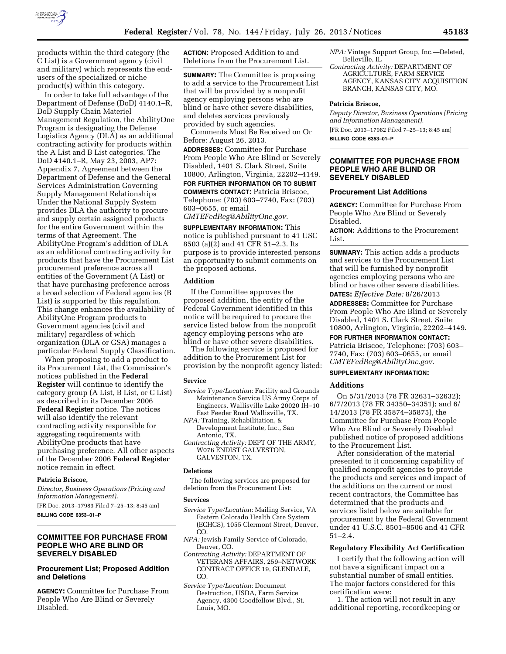

products within the third category (the C List) is a Government agency (civil and military) which represents the endusers of the specialized or niche product(s) within this category.

In order to take full advantage of the Department of Defense (DoD) 4140.1–R, DoD Supply Chain Materiel Management Regulation, the AbilityOne Program is designating the Defense Logistics Agency (DLA) as an additional contracting activity for products within the A List and B List categories. The DoD 4140.1–R, May 23, 2003, AP7: Appendix 7, Agreement between the Department of Defense and the General Services Administration Governing Supply Management Relationships Under the National Supply System provides DLA the authority to procure and supply certain assigned products for the entire Government within the terms of that Agreement. The AbilityOne Program's addition of DLA as an additional contracting activity for products that have the Procurement List procurement preference across all entities of the Government (A List) or that have purchasing preference across a broad selection of Federal agencies (B List) is supported by this regulation. This change enhances the availability of AbilityOne Program products to Government agencies (civil and military) regardless of which organization (DLA or GSA) manages a particular Federal Supply Classification.

When proposing to add a product to its Procurement List, the Commission's notices published in the **Federal Register** will continue to identify the category group (A List, B List, or C List) as described in its December 2006 **Federal Register** notice. The notices will also identify the relevant contracting activity responsible for aggregating requirements with AbilityOne products that have purchasing preference. All other aspects of the December 2006 **Federal Register**  notice remain in effect.

## **Patricia Briscoe,**

*Director, Business Operations (Pricing and Information Management).* 

[FR Doc. 2013–17983 Filed 7–25–13; 8:45 am] **BILLING CODE 6353–01–P** 

# **COMMITTEE FOR PURCHASE FROM PEOPLE WHO ARE BLIND OR SEVERELY DISABLED**

# **Procurement List; Proposed Addition and Deletions**

**AGENCY:** Committee for Purchase From People Who Are Blind or Severely Disabled.

**ACTION:** Proposed Addition to and Deletions from the Procurement List.

**SUMMARY:** The Committee is proposing to add a service to the Procurement List that will be provided by a nonprofit agency employing persons who are blind or have other severe disabilities, and deletes services previously provided by such agencies.

Comments Must Be Received on Or Before: August 26, 2013.

**ADDRESSES:** Committee for Purchase From People Who Are Blind or Severely Disabled, 1401 S. Clark Street, Suite 10800, Arlington, Virginia, 22202–4149. **FOR FURTHER INFORMATION OR TO SUBMIT**

**COMMENTS CONTACT:** Patricia Briscoe, Telephone: (703) 603–7740, Fax: (703) 603–0655, or email

*[CMTEFedReg@AbilityOne.gov.](mailto:CMTEFedReg@AbilityOne.gov)* 

**SUPPLEMENTARY INFORMATION:** This notice is published pursuant to 41 USC 8503 (a)(2) and 41 CFR 51–2.3. Its purpose is to provide interested persons an opportunity to submit comments on the proposed actions.

# **Addition**

If the Committee approves the proposed addition, the entity of the Federal Government identified in this notice will be required to procure the service listed below from the nonprofit agency employing persons who are blind or have other severe disabilities.

The following service is proposed for addition to the Procurement List for provision by the nonprofit agency listed:

#### **Service**

- *Service Type/Location:* Facility and Grounds Maintenance Service US Army Corps of Engineers, Wallisville Lake 20020 IH–10 East Feeder Road Wallisville, TX.
- *NPA:* Training, Rehabilitation, & Development Institute, Inc., San Antonio, TX.
- *Contracting Activity:* DEPT OF THE ARMY, W076 ENDIST GALVESTON, GALVESTON, TX.

# **Deletions**

The following services are proposed for deletion from the Procurement List:

#### **Services**

- *Service Type/Location:* Mailing Service, VA Eastern Colorado Health Care System (ECHCS), 1055 Clermont Street, Denver, CO.
- *NPA:* Jewish Family Service of Colorado, Denver, CO.
- *Contracting Activity:* DEPARTMENT OF VETERANS AFFAIRS, 259–NETWORK CONTRACT OFFICE 19, GLENDALE, CO.
- *Service Type/Location:* Document Destruction, USDA, Farm Service Agency, 4300 Goodfellow Blvd., St. Louis, MO.
- *NPA:* Vintage Support Group, Inc.—Deleted, Belleville, IL
- *Contracting Activity:* DEPARTMENT OF AGRICULTURE, FARM SERVICE AGENCY, KANSAS CITY ACQUISITION BRANCH, KANSAS CITY, MO.

### **Patricia Briscoe,**

*Deputy Director, Business Operations (Pricing and Information Management).* 

[FR Doc. 2013–17982 Filed 7–25–13; 8:45 am] **BILLING CODE 6353–01–P** 

# **COMMITTEE FOR PURCHASE FROM PEOPLE WHO ARE BLIND OR SEVERELY DISABLED**

### **Procurement List Additions**

**AGENCY:** Committee for Purchase From People Who Are Blind or Severely Disabled.

**ACTION:** Additions to the Procurement List.

**SUMMARY:** This action adds a products and services to the Procurement List that will be furnished by nonprofit agencies employing persons who are blind or have other severe disabilities. **DATES:** *Effective Date:* 8/26/2013

**ADDRESSES:** Committee for Purchase From People Who Are Blind or Severely Disabled, 1401 S. Clark Street, Suite 10800, Arlington, Virginia, 22202–4149.

### **FOR FURTHER INFORMATION CONTACT:**

Patricia Briscoe, Telephone: (703) 603– 7740, Fax: (703) 603–0655, or email *[CMTEFedReg@AbilityOne.gov](mailto:CMTEFedReg@AbilityOne.gov)*.

# **SUPPLEMENTARY INFORMATION:**

#### **Additions**

On 5/31/2013 (78 FR 32631–32632); 6/7/2013 (78 FR 34350–34351); and 6/ 14/2013 (78 FR 35874–35875), the Committee for Purchase From People Who Are Blind or Severely Disabled published notice of proposed additions to the Procurement List.

After consideration of the material presented to it concerning capability of qualified nonprofit agencies to provide the products and services and impact of the additions on the current or most recent contractors, the Committee has determined that the products and services listed below are suitable for procurement by the Federal Government under 41 U.S.C. 8501–8506 and 41 CFR 51–2.4.

# **Regulatory Flexibility Act Certification**

I certify that the following action will not have a significant impact on a substantial number of small entities. The major factors considered for this certification were:

1. The action will not result in any additional reporting, recordkeeping or